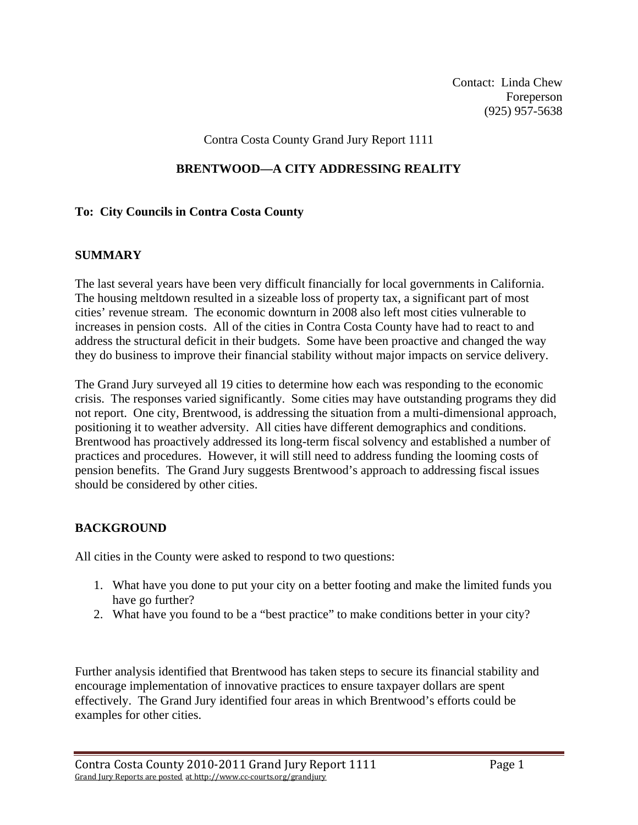Contact: Linda Chew Foreperson (925) 957-5638

Contra Costa County Grand Jury Report 1111

### **BRENTWOOD—A CITY ADDRESSING REALITY**

#### **To: City Councils in Contra Costa County**

#### **SUMMARY**

The last several years have been very difficult financially for local governments in California. The housing meltdown resulted in a sizeable loss of property tax, a significant part of most cities' revenue stream. The economic downturn in 2008 also left most cities vulnerable to increases in pension costs. All of the cities in Contra Costa County have had to react to and address the structural deficit in their budgets. Some have been proactive and changed the way they do business to improve their financial stability without major impacts on service delivery.

The Grand Jury surveyed all 19 cities to determine how each was responding to the economic crisis. The responses varied significantly. Some cities may have outstanding programs they did not report. One city, Brentwood, is addressing the situation from a multi-dimensional approach, positioning it to weather adversity. All cities have different demographics and conditions. Brentwood has proactively addressed its long-term fiscal solvency and established a number of practices and procedures. However, it will still need to address funding the looming costs of pension benefits. The Grand Jury suggests Brentwood's approach to addressing fiscal issues should be considered by other cities.

#### **BACKGROUND**

All cities in the County were asked to respond to two questions:

- 1. What have you done to put your city on a better footing and make the limited funds you have go further?
- 2. What have you found to be a "best practice" to make conditions better in your city?

Further analysis identified that Brentwood has taken steps to secure its financial stability and encourage implementation of innovative practices to ensure taxpayer dollars are spent effectively. The Grand Jury identified four areas in which Brentwood's efforts could be examples for other cities.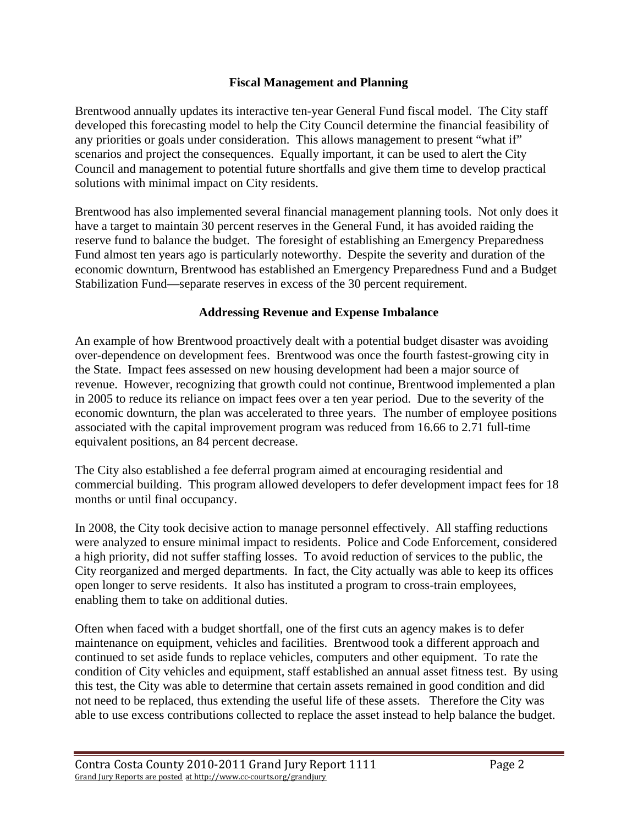## **Fiscal Management and Planning**

Brentwood annually updates its interactive ten-year General Fund fiscal model. The City staff developed this forecasting model to help the City Council determine the financial feasibility of any priorities or goals under consideration. This allows management to present "what if" scenarios and project the consequences. Equally important, it can be used to alert the City Council and management to potential future shortfalls and give them time to develop practical solutions with minimal impact on City residents.

Brentwood has also implemented several financial management planning tools. Not only does it have a target to maintain 30 percent reserves in the General Fund, it has avoided raiding the reserve fund to balance the budget. The foresight of establishing an Emergency Preparedness Fund almost ten years ago is particularly noteworthy. Despite the severity and duration of the economic downturn, Brentwood has established an Emergency Preparedness Fund and a Budget Stabilization Fund—separate reserves in excess of the 30 percent requirement.

### **Addressing Revenue and Expense Imbalance**

An example of how Brentwood proactively dealt with a potential budget disaster was avoiding over-dependence on development fees. Brentwood was once the fourth fastest-growing city in the State. Impact fees assessed on new housing development had been a major source of revenue. However, recognizing that growth could not continue, Brentwood implemented a plan in 2005 to reduce its reliance on impact fees over a ten year period. Due to the severity of the economic downturn, the plan was accelerated to three years. The number of employee positions associated with the capital improvement program was reduced from 16.66 to 2.71 full-time equivalent positions, an 84 percent decrease.

The City also established a fee deferral program aimed at encouraging residential and commercial building. This program allowed developers to defer development impact fees for 18 months or until final occupancy.

In 2008, the City took decisive action to manage personnel effectively. All staffing reductions were analyzed to ensure minimal impact to residents. Police and Code Enforcement, considered a high priority, did not suffer staffing losses. To avoid reduction of services to the public, the City reorganized and merged departments. In fact, the City actually was able to keep its offices open longer to serve residents. It also has instituted a program to cross-train employees, enabling them to take on additional duties.

Often when faced with a budget shortfall, one of the first cuts an agency makes is to defer maintenance on equipment, vehicles and facilities. Brentwood took a different approach and continued to set aside funds to replace vehicles, computers and other equipment. To rate the condition of City vehicles and equipment, staff established an annual asset fitness test. By using this test, the City was able to determine that certain assets remained in good condition and did not need to be replaced, thus extending the useful life of these assets. Therefore the City was able to use excess contributions collected to replace the asset instead to help balance the budget.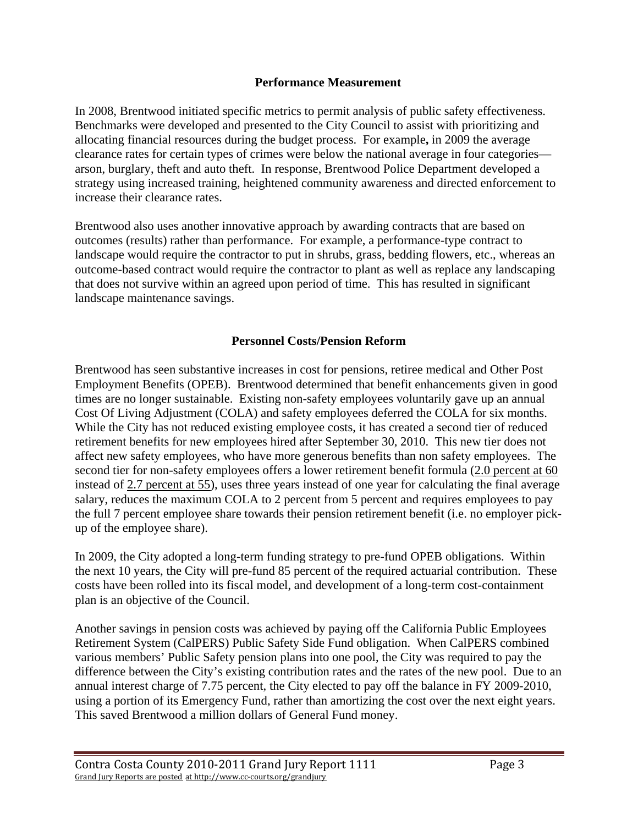#### **Performance Measurement**

In 2008, Brentwood initiated specific metrics to permit analysis of public safety effectiveness. Benchmarks were developed and presented to the City Council to assist with prioritizing and allocating financial resources during the budget process. For example**,** in 2009 the average clearance rates for certain types of crimes were below the national average in four categories arson, burglary, theft and auto theft. In response, Brentwood Police Department developed a strategy using increased training, heightened community awareness and directed enforcement to increase their clearance rates.

Brentwood also uses another innovative approach by awarding contracts that are based on outcomes (results) rather than performance. For example, a performance-type contract to landscape would require the contractor to put in shrubs, grass, bedding flowers, etc., whereas an outcome-based contract would require the contractor to plant as well as replace any landscaping that does not survive within an agreed upon period of time. This has resulted in significant landscape maintenance savings.

## **Personnel Costs/Pension Reform**

Brentwood has seen substantive increases in cost for pensions, retiree medical and Other Post Employment Benefits (OPEB). Brentwood determined that benefit enhancements given in good times are no longer sustainable. Existing non-safety employees voluntarily gave up an annual Cost Of Living Adjustment (COLA) and safety employees deferred the COLA for six months. While the City has not reduced existing employee costs, it has created a second tier of reduced retirement benefits for new employees hired after September 30, 2010. This new tier does not affect new safety employees, who have more generous benefits than non safety employees. The second tier for non-safety employees offers a lower retirement benefit formula (2.0 percent at 60 instead of 2.7 percent at 55), uses three years instead of one year for calculating the final average salary, reduces the maximum COLA to 2 percent from 5 percent and requires employees to pay the full 7 percent employee share towards their pension retirement benefit (i.e. no employer pickup of the employee share).

In 2009, the City adopted a long-term funding strategy to pre-fund OPEB obligations. Within the next 10 years, the City will pre-fund 85 percent of the required actuarial contribution. These costs have been rolled into its fiscal model, and development of a long-term cost-containment plan is an objective of the Council.

Another savings in pension costs was achieved by paying off the California Public Employees Retirement System (CalPERS) Public Safety Side Fund obligation. When CalPERS combined various members' Public Safety pension plans into one pool, the City was required to pay the difference between the City's existing contribution rates and the rates of the new pool. Due to an annual interest charge of 7.75 percent, the City elected to pay off the balance in FY 2009-2010, using a portion of its Emergency Fund, rather than amortizing the cost over the next eight years. This saved Brentwood a million dollars of General Fund money.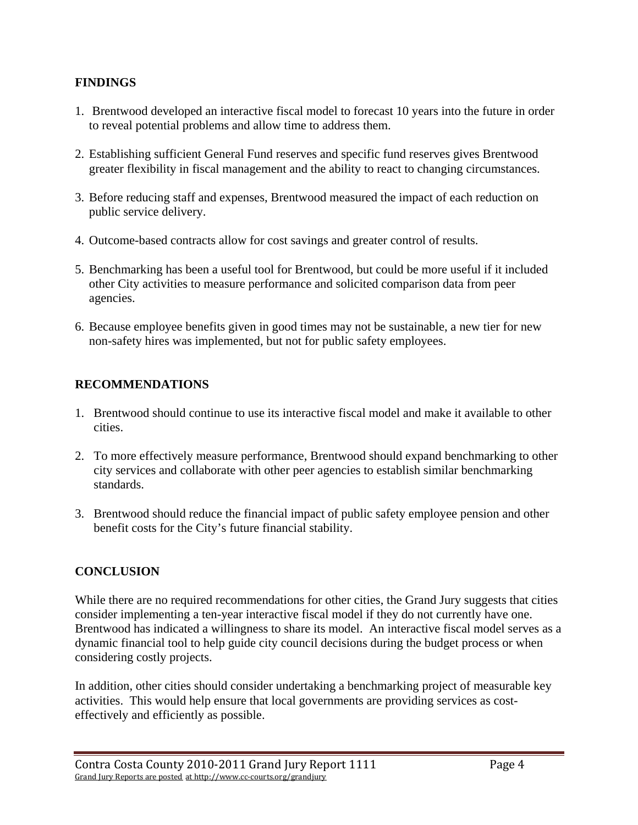# **FINDINGS**

- 1. Brentwood developed an interactive fiscal model to forecast 10 years into the future in order to reveal potential problems and allow time to address them.
- 2. Establishing sufficient General Fund reserves and specific fund reserves gives Brentwood greater flexibility in fiscal management and the ability to react to changing circumstances.
- 3. Before reducing staff and expenses, Brentwood measured the impact of each reduction on public service delivery.
- 4. Outcome-based contracts allow for cost savings and greater control of results.
- 5. Benchmarking has been a useful tool for Brentwood, but could be more useful if it included other City activities to measure performance and solicited comparison data from peer agencies.
- 6. Because employee benefits given in good times may not be sustainable, a new tier for new non-safety hires was implemented, but not for public safety employees.

# **RECOMMENDATIONS**

- 1. Brentwood should continue to use its interactive fiscal model and make it available to other cities.
- 2. To more effectively measure performance, Brentwood should expand benchmarking to other city services and collaborate with other peer agencies to establish similar benchmarking standards.
- 3. Brentwood should reduce the financial impact of public safety employee pension and other benefit costs for the City's future financial stability.

## **CONCLUSION**

While there are no required recommendations for other cities, the Grand Jury suggests that cities consider implementing a ten-year interactive fiscal model if they do not currently have one. Brentwood has indicated a willingness to share its model. An interactive fiscal model serves as a dynamic financial tool to help guide city council decisions during the budget process or when considering costly projects.

In addition, other cities should consider undertaking a benchmarking project of measurable key activities. This would help ensure that local governments are providing services as costeffectively and efficiently as possible.